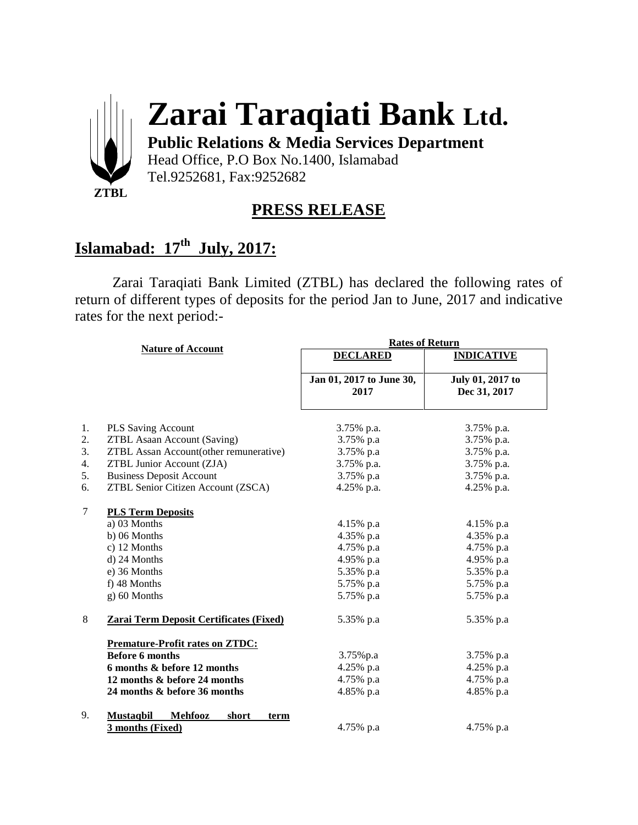

# **Zarai Taraqiati Bank Ltd.**

**Public Relations & Media Services Department**

Head Office, P.O Box No.1400, Islamabad Tel.9252681, Fax:9252682

### **PRESS RELEASE**

## **Islamabad: 17th July, 2017:**

Zarai Taraqiati Bank Limited (ZTBL) has declared the following rates of return of different types of deposits for the period Jan to June, 2017 and indicative rates for the next period:-

|        |                                                     | <b>Rates of Return</b>           |                                  |
|--------|-----------------------------------------------------|----------------------------------|----------------------------------|
|        | <b>Nature of Account</b>                            | <b>DECLARED</b>                  | <b>INDICATIVE</b>                |
|        |                                                     | Jan 01, 2017 to June 30,<br>2017 | July 01, 2017 to<br>Dec 31, 2017 |
| 1.     | <b>PLS Saving Account</b>                           | 3.75% p.a.                       | 3.75% p.a.                       |
| 2.     | <b>ZTBL Asaan Account (Saving)</b>                  | 3.75% p.a                        | 3.75% p.a.                       |
| 3.     | <b>ZTBL Assan Account(other remunerative)</b>       | 3.75% p.a                        | 3.75% p.a.                       |
| 4.     | ZTBL Junior Account (ZJA)                           | 3.75% p.a.                       | 3.75% p.a.                       |
| 5.     | <b>Business Deposit Account</b>                     | 3.75% p.a                        | 3.75% p.a.                       |
| 6.     | ZTBL Senior Citizen Account (ZSCA)                  | 4.25% p.a.                       | 4.25% p.a.                       |
| $\tau$ | <b>PLS Term Deposits</b>                            |                                  |                                  |
|        | a) 03 Months                                        | 4.15% p.a                        | 4.15% p.a                        |
|        | $b)$ 06 Months                                      | 4.35% p.a                        | 4.35% p.a                        |
|        | c) 12 Months                                        | 4.75% p.a                        | 4.75% p.a                        |
|        | d) 24 Months                                        | 4.95% p.a                        | 4.95% p.a                        |
|        | e) 36 Months                                        | 5.35% p.a                        | 5.35% p.a                        |
|        | f) 48 Months                                        | 5.75% p.a                        | 5.75% p.a                        |
|        | g) 60 Months                                        | 5.75% p.a                        | 5.75% p.a                        |
| 8      | Zarai Term Deposit Certificates (Fixed)             | 5.35% p.a                        | 5.35% p.a                        |
|        | <b>Premature-Profit rates on ZTDC:</b>              |                                  |                                  |
|        | <b>Before 6 months</b>                              | 3.75%p.a                         | 3.75% p.a                        |
|        | 6 months & before 12 months                         | 4.25% p.a                        | 4.25% p.a                        |
|        | 12 months & before 24 months                        | 4.75% p.a                        | 4.75% p.a                        |
|        | 24 months & before 36 months                        | 4.85% p.a                        | 4.85% p.a                        |
| 9.     | <b>Mustagbil</b><br><b>Mehfooz</b><br>short<br>term |                                  |                                  |
|        | 3 months (Fixed)                                    | 4.75% p.a                        | 4.75% p.a                        |